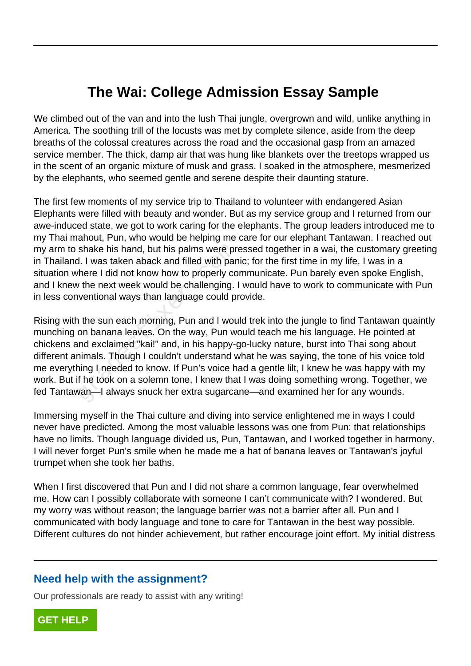## **The Wai: College Admission Essay Sample**

We climbed out of the van and into the lush Thai jungle, overgrown and wild, unlike anything in America. The soothing trill of the locusts was met by complete silence, aside from the deep breaths of the colossal creatures across the road and the occasional gasp from an amazed service member. The thick, damp air that was hung like blankets over the treetops wrapped us in the scent of an organic mixture of musk and grass. I soaked in the atmosphere, mesmerized by the elephants, who seemed gentle and serene despite their daunting stature.

The first few moments of my service trip to Thailand to volunteer with endangered Asian Elephants were filled with beauty and wonder. But as my service group and I returned from our awe-induced state, we got to work caring for the elephants. The group leaders introduced me to my Thai mahout, Pun, who would be helping me care for our elephant Tantawan. I reached out my arm to shake his hand, but his palms were pressed together in a wai, the customary greeting in Thailand. I was taken aback and filled with panic; for the first time in my life, I was in a situation where I did not know how to properly communicate. Pun barely even spoke English, and I knew the next week would be challenging. I would have to work to communicate with Pun in less conventional ways than language could provide.

Rising with the sun each morning, Pun and I would trek into the jungle to find Tantawan quaintly munching on banana leaves. On the way, Pun would teach me his language. He pointed at chickens and exclaimed "kai!" and, in his happy-go-lucky nature, burst into Thai song about different animals. Though I couldn't understand what he was saying, the tone of his voice told me everything I needed to know. If Pun's voice had a gentle lilt, I knew he was happy with my work. But if he took on a solemn tone, I knew that I was doing something wrong. Together, we fed Tantawan—I always snuck her extra sugarcane—and examined her for any wounds. shake his hand, but his palms were prod. I was taken aback and filled with panchere I did not know how to properly conductional ways than language could provertional ways than language could provertional ways than language

Immersing myself in the Thai culture and diving into service enlightened me in ways I could never have predicted. Among the most valuable lessons was one from Pun: that relationships have no limits. Though language divided us, Pun, Tantawan, and I worked together in harmony. I will never forget Pun's smile when he made me a hat of banana leaves or Tantawan's joyful trumpet when she took her baths.

When I first discovered that Pun and I did not share a common language, fear overwhelmed me. How can I possibly collaborate with someone I can't communicate with? I wondered. But my worry was without reason; the language barrier was not a barrier after all. Pun and I communicated with body language and tone to care for Tantawan in the best way possible. Different cultures do not hinder achievement, but rather encourage joint effort. My initial distress

## **Need help with the assignment?**

Our professionals are ready to assist with any writing!